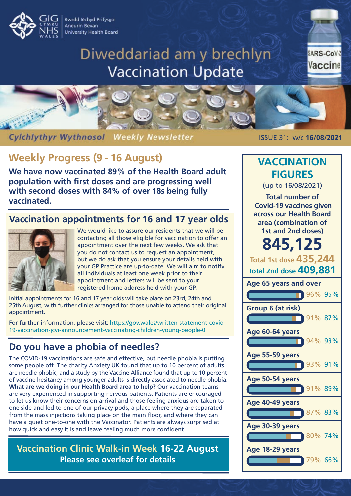Bwrdd Iechyd Prifysgol Aneurin Bevan **University Health Board** 

# Diweddariad am y brechlyn **Vaccination Update**

SARS-CoV-2 Vaccine



**Cylchlythyr Wythnosol Weekly Newsletter** 

# **Weekly Progress (9 - 16 August)**

**We have now vaccinated 89% of the Health Board adult population with first doses and are progressing well with second doses with 84% of over 18s being fully vaccinated.**

#### **Vaccination appointments for 16 and 17 year olds**



We would like to assure our residents that we will be contacting all those eligible for vaccination to offer an appointment over the next few weeks. We ask that you do not contact us to request an appointment, but we do ask that you ensure your details held with your GP Practice are up-to-date. We will aim to notify all individuals at least one week prior to their appointment and letters will be sent to your registered home address held with your GP.

Initial appointments for 16 and 17 year olds will take place on 23rd, 24th and 25th August, with further clinics arranged for those unable to attend their original appointment.

For further information, please visit: https://gov.wales/written-statement-covid-[19-vaccination-jcvi-announcement-vaccinating-children-young-people-0](https://gov.wales/written-statement-covid-19-vaccination-jcvi-announcement-vaccinating-children-young-people-0)

#### **Do you have a phobia of needles?**

The COVID-19 vaccinations are safe and effective, but needle phobia is putting some people off. The charity Anxiety UK found that up to 10 percent of adults are needle phobic, and a study by the Vaccine Alliance found that up to 10 percent of vaccine hesitancy among younger adults is directly associated to needle phobia. **What are we doing in our Health Board area to help?** Our vaccination teams are very experienced in supporting nervous patients. Patients are encouraged to let us know their concerns on arrival and those feeling anxious are taken to one side and led to one of our privacy pods, a place where they are separated from the mass injections taking place on the main floor, and where they can have a quiet one-to-one with the Vaccinator. Patients are always surprised at how quick and easy it is and leave feeling much more confident.

**Vaccination Clinic Walk-in Week 16-22 August Please see overleaf for details**

ISSUE 31: w/c **16/08/2021**

## **Age 65 years and over Group 6 (at risk) Age 60-64 years Age 55-59 years Age 50-54 years Age 40-49 years Age 30-39 years Age 18-29 years VACCINATION FIGURES** (up to 16/08/2021) **Total number of Covid-19 vaccines given across our Health Board area (combination of 1st and 2nd doses) 845,125 Total 1st dose 435,244 Total 2nd dose 409,881 96% 95%** 91% 87% 94% 93% 93% 91% 91% 89% 87% 83% 80% 74% 79% 66%